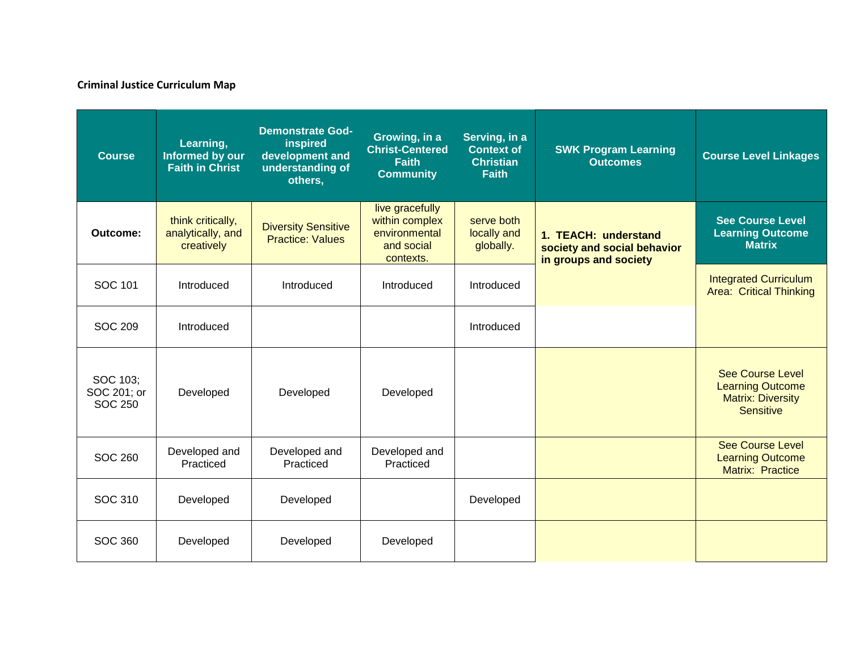## **Criminal Justice Curriculum Map**

| <b>Course</b>                             | Learning,<br>Informed by our<br><b>Faith in Christ</b> | <b>Demonstrate God-</b><br>inspired<br>development and<br>understanding of<br>others, | Growing, in a<br><b>Christ-Centered</b><br><b>Faith</b><br><b>Community</b>   | Serving, in a<br><b>Context of</b><br><b>Christian</b><br><b>Faith</b> | <b>SWK Program Learning</b><br><b>Outcomes</b>                               | <b>Course Level Linkages</b>                                                                       |
|-------------------------------------------|--------------------------------------------------------|---------------------------------------------------------------------------------------|-------------------------------------------------------------------------------|------------------------------------------------------------------------|------------------------------------------------------------------------------|----------------------------------------------------------------------------------------------------|
| Outcome:                                  | think critically,<br>analytically, and<br>creatively   | <b>Diversity Sensitive</b><br><b>Practice: Values</b>                                 | live gracefully<br>within complex<br>environmental<br>and social<br>contexts. | serve both<br>locally and<br>globally.                                 | 1. TEACH: understand<br>society and social behavior<br>in groups and society | <b>See Course Level</b><br><b>Learning Outcome</b><br><b>Matrix</b>                                |
| <b>SOC 101</b>                            | Introduced                                             | Introduced                                                                            | Introduced                                                                    | Introduced                                                             |                                                                              | <b>Integrated Curriculum</b><br><b>Area: Critical Thinking</b>                                     |
| <b>SOC 209</b>                            | Introduced                                             |                                                                                       |                                                                               | Introduced                                                             |                                                                              |                                                                                                    |
| SOC 103:<br>SOC 201; or<br><b>SOC 250</b> | Developed                                              | Developed                                                                             | Developed                                                                     |                                                                        |                                                                              | <b>See Course Level</b><br><b>Learning Outcome</b><br><b>Matrix: Diversity</b><br><b>Sensitive</b> |
| <b>SOC 260</b>                            | Developed and<br>Practiced                             | Developed and<br>Practiced                                                            | Developed and<br>Practiced                                                    |                                                                        |                                                                              | <b>See Course Level</b><br><b>Learning Outcome</b><br><b>Matrix: Practice</b>                      |
| <b>SOC 310</b>                            | Developed                                              | Developed                                                                             |                                                                               | Developed                                                              |                                                                              |                                                                                                    |
| SOC 360                                   | Developed                                              | Developed                                                                             | Developed                                                                     |                                                                        |                                                                              |                                                                                                    |